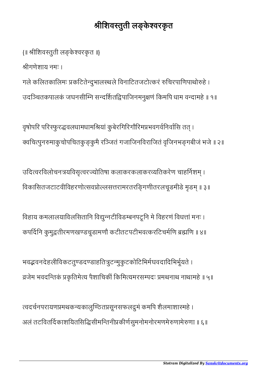## श्रीशिवस्तुती लङ्केश्वरकृत

{॥ श्रीशिवस्तुती लङ्केश्वरकृत ॥}

ीगणेशाय नमः ।

गले कलितकालिमः प्रकटितेन्दुभालस्थले विनाटितजटोत्करं रुचिरपाणिपाथोरुहे । उदञ्चितकपालकं जघनसीम्नि सन्दर्शितद्विपाजिनमनुक्षणं किमपि धाम वन्दामहे ॥ १॥

वृषोपरि परिस्फुरद्धवलधामधामश्रियां कुबेरगिरिगौरिमप्रभवगर्वनिर्वासि तत् । क्वचित्पुनरुमाकुचोपचितकु ङ्कुमै रञ्जितं गजाजिनविराजितं वृजिनभङ्गबीजं भजे ॥ २॥

उदित्वरविलोचनत्रयविसृत्वरज्योतिषा कलाकरकलाकरव्यतिकरेण चाहर्निशम् । विकासितजटाटवीविहरणोत्सवप्रोल्लसत्तरामरतरङ्गिणीतरलचूडमीडे मृडम् ॥ ३॥

विहाय कमलालयाविलसितानि विद्युन्नटीविडम्बनपटूनि मे विहरणं विधत्तां मनः । कपर्दिनि कुमुद्वतीरमणखण्डचूडामणौ कटीतटपटीभवत्करटिचर्मणि ब्रह्मणि ॥ ४॥

भवद्भवनदेहलीविकटतुण्डदण्डाहतित्रुटन्मुकुटकोटिभिर्मघवदादिभिर्भूयते । त्रजेम भवदन्तिकं प्रकृतिमेत्य पैशाचिकीं किमित्यमरसम्पदः प्रमथनाथ नाथामहे ॥ ५॥

वदचनपरायणमथकयकालुठतसूनसफलुमं कमिप शैलमाशामहे । अलं तटवितर्दिकाशयितसिद्धिसीमन्तिनीप्रकीर्णसुमनोमनोरमणमेरुणामेरुणा ॥ ६॥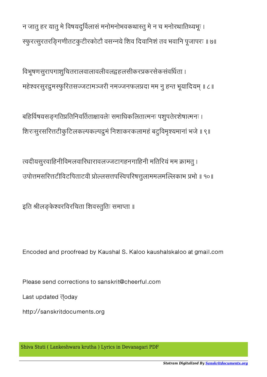Please send corrections to sanskrit@cheerful.com

Last updated **doday** 

http://sanskritdocuments.org

Encoded and proofread by Kaushal S. Kaloo kaushalskaloo at gmail.com

इति श्रीलङ्केश्वरविरचिता शिवस्तुतिः समाप्ता ॥

त्वदीयसुरवाहिनीविमलवारिधारावलज्जटागहनगाहिनी मतिरियं मम क्रामतु । उपोत्तमसरित्तटीविटपिताटवी प्रोल्लसत्तपस्विपरिषत्तुलाममलमल्लिकाभ प्रभो ॥ १०॥

बहिर्विषयसङ्गतिप्रतिनिवर्तिताक्षावलेः समाधिकलितात्मनः पशुपतेरशेषात्मनः । शिरःसुरसरित्तटीकुटिलकल्पकल्पद्रुमं निशाकरकलामहं बटुविमृश्यमानां भजे ॥ ९॥

िवभूषणसुरापगाशुिचतरालवालावलीवलहलसीकरकरसेकसंवधता । महेश्वरसुरद्रुमस्फुरितसज्जटामञ्जरी नमज्जनफलप्रदा मम नु हन्त भूयादियम् ॥ ८॥

न जातु हर यातु मे विषयदुर्विलासं मनोमनोभवकथास्तु मे न च मनोरथातिथ्यभूः । स्फूरत्सुरतरङ्गिणीतटकुटीरकोटौ वसन्नये शिव दिवानिशं तव भवानि पूजापरः ॥ ७॥